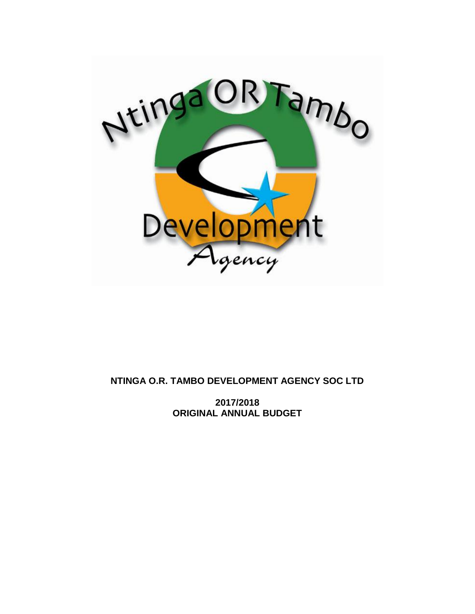

# **NTINGA O.R. TAMBO DEVELOPMENT AGENCY SOC LTD**

**2017/2018 ORIGINAL ANNUAL BUDGET**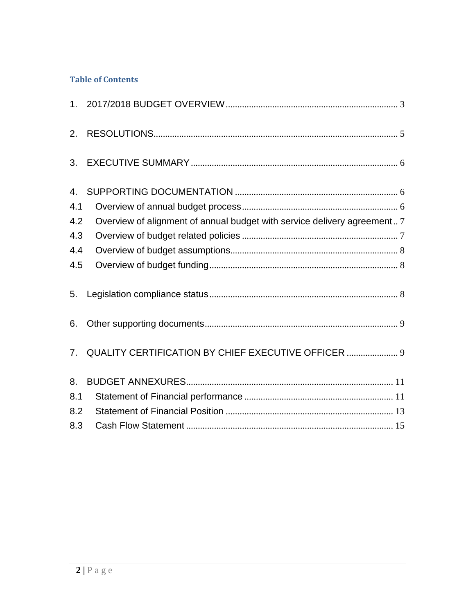# **Table of Contents**

| 2.  |                                                                          |  |
|-----|--------------------------------------------------------------------------|--|
| 3.  |                                                                          |  |
| 4.  |                                                                          |  |
| 4.1 |                                                                          |  |
| 4.2 | Overview of alignment of annual budget with service delivery agreement 7 |  |
| 4.3 |                                                                          |  |
| 4.4 |                                                                          |  |
| 4.5 |                                                                          |  |
| 5.  |                                                                          |  |
| 6.  |                                                                          |  |
| 7.  | QUALITY CERTIFICATION BY CHIEF EXECUTIVE OFFICER  9                      |  |
| 8.  |                                                                          |  |
| 8.1 |                                                                          |  |
| 8.2 |                                                                          |  |
| 8.3 |                                                                          |  |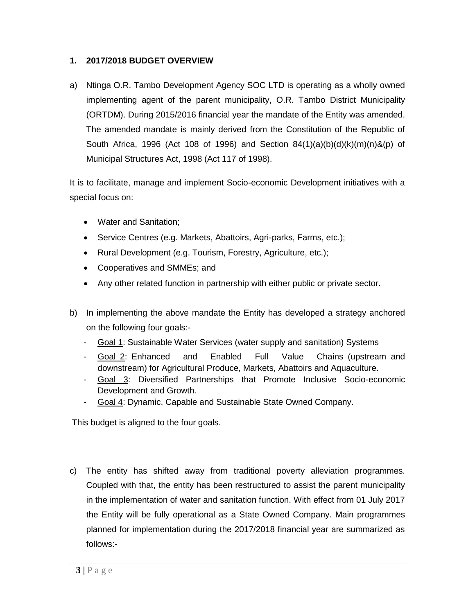### <span id="page-2-0"></span>**1. 2017/2018 BUDGET OVERVIEW**

a) Ntinga O.R. Tambo Development Agency SOC LTD is operating as a wholly owned implementing agent of the parent municipality, O.R. Tambo District Municipality (ORTDM). During 2015/2016 financial year the mandate of the Entity was amended. The amended mandate is mainly derived from the Constitution of the Republic of South Africa, 1996 (Act 108 of 1996) and Section  $84(1)(a)(b)(d)(k)(m)(n)$ &(p) of Municipal Structures Act, 1998 (Act 117 of 1998).

It is to facilitate, manage and implement Socio-economic Development initiatives with a special focus on:

- Water and Sanitation;
- Service Centres (e.g. Markets, Abattoirs, Agri-parks, Farms, etc.);
- Rural Development (e.g. Tourism, Forestry, Agriculture, etc.);
- Cooperatives and SMMEs; and
- Any other related function in partnership with either public or private sector.
- b) In implementing the above mandate the Entity has developed a strategy anchored on the following four goals:-
	- Goal 1: Sustainable Water Services (water supply and sanitation) Systems
	- Goal 2: Enhanced and Enabled Full Value Chains (upstream and downstream) for Agricultural Produce, Markets, Abattoirs and Aquaculture.
	- Goal 3: Diversified Partnerships that Promote Inclusive Socio-economic Development and Growth.
	- Goal 4: Dynamic, Capable and Sustainable State Owned Company.

This budget is aligned to the four goals.

c) The entity has shifted away from traditional poverty alleviation programmes. Coupled with that, the entity has been restructured to assist the parent municipality in the implementation of water and sanitation function. With effect from 01 July 2017 the Entity will be fully operational as a State Owned Company. Main programmes planned for implementation during the 2017/2018 financial year are summarized as follows:-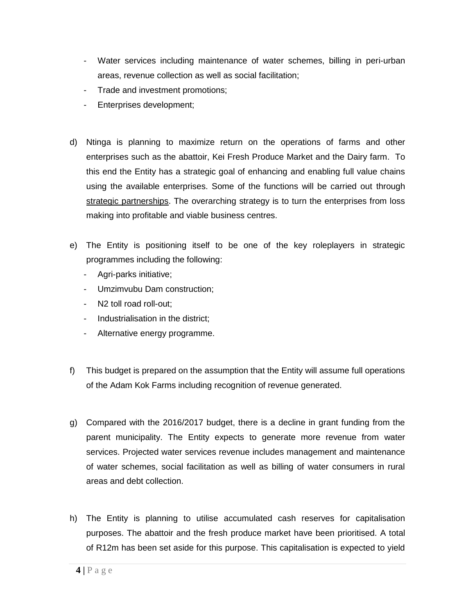- Water services including maintenance of water schemes, billing in peri-urban areas, revenue collection as well as social facilitation;
- Trade and investment promotions;
- Enterprises development;
- d) Ntinga is planning to maximize return on the operations of farms and other enterprises such as the abattoir, Kei Fresh Produce Market and the Dairy farm. To this end the Entity has a strategic goal of enhancing and enabling full value chains using the available enterprises. Some of the functions will be carried out through strategic partnerships. The overarching strategy is to turn the enterprises from loss making into profitable and viable business centres.
- e) The Entity is positioning itself to be one of the key roleplayers in strategic programmes including the following:
	- Agri-parks initiative;
	- Umzimvubu Dam construction;
	- N2 toll road roll-out;
	- Industrialisation in the district;
	- Alternative energy programme.
- f) This budget is prepared on the assumption that the Entity will assume full operations of the Adam Kok Farms including recognition of revenue generated.
- g) Compared with the 2016/2017 budget, there is a decline in grant funding from the parent municipality. The Entity expects to generate more revenue from water services. Projected water services revenue includes management and maintenance of water schemes, social facilitation as well as billing of water consumers in rural areas and debt collection.
- h) The Entity is planning to utilise accumulated cash reserves for capitalisation purposes. The abattoir and the fresh produce market have been prioritised. A total of R12m has been set aside for this purpose. This capitalisation is expected to yield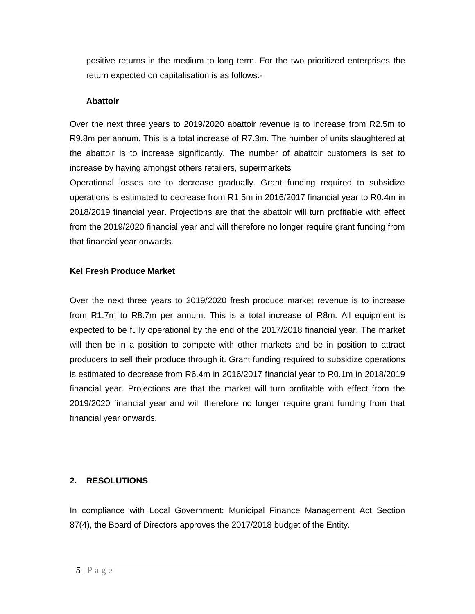positive returns in the medium to long term. For the two prioritized enterprises the return expected on capitalisation is as follows:-

#### **Abattoir**

Over the next three years to 2019/2020 abattoir revenue is to increase from R2.5m to R9.8m per annum. This is a total increase of R7.3m. The number of units slaughtered at the abattoir is to increase significantly. The number of abattoir customers is set to increase by having amongst others retailers, supermarkets

Operational losses are to decrease gradually. Grant funding required to subsidize operations is estimated to decrease from R1.5m in 2016/2017 financial year to R0.4m in 2018/2019 financial year. Projections are that the abattoir will turn profitable with effect from the 2019/2020 financial year and will therefore no longer require grant funding from that financial year onwards.

#### **Kei Fresh Produce Market**

Over the next three years to 2019/2020 fresh produce market revenue is to increase from R1.7m to R8.7m per annum. This is a total increase of R8m. All equipment is expected to be fully operational by the end of the 2017/2018 financial year. The market will then be in a position to compete with other markets and be in position to attract producers to sell their produce through it. Grant funding required to subsidize operations is estimated to decrease from R6.4m in 2016/2017 financial year to R0.1m in 2018/2019 financial year. Projections are that the market will turn profitable with effect from the 2019/2020 financial year and will therefore no longer require grant funding from that financial year onwards.

### <span id="page-4-0"></span>**2. RESOLUTIONS**

In compliance with Local Government: Municipal Finance Management Act Section 87(4), the Board of Directors approves the 2017/2018 budget of the Entity.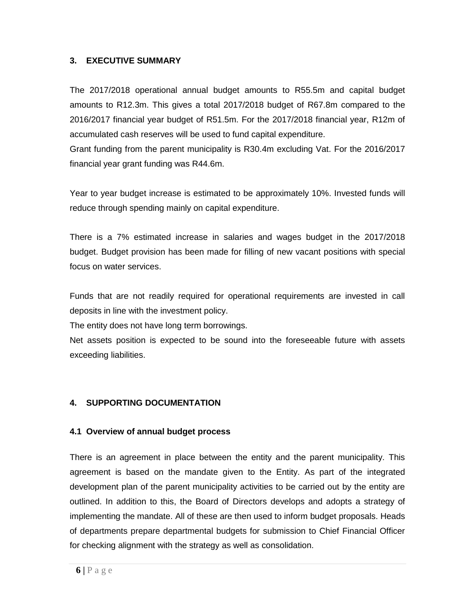### <span id="page-5-0"></span>**3. EXECUTIVE SUMMARY**

The 2017/2018 operational annual budget amounts to R55.5m and capital budget amounts to R12.3m. This gives a total 2017/2018 budget of R67.8m compared to the 2016/2017 financial year budget of R51.5m. For the 2017/2018 financial year, R12m of accumulated cash reserves will be used to fund capital expenditure.

Grant funding from the parent municipality is R30.4m excluding Vat. For the 2016/2017 financial year grant funding was R44.6m.

Year to year budget increase is estimated to be approximately 10%. Invested funds will reduce through spending mainly on capital expenditure.

There is a 7% estimated increase in salaries and wages budget in the 2017/2018 budget. Budget provision has been made for filling of new vacant positions with special focus on water services.

Funds that are not readily required for operational requirements are invested in call deposits in line with the investment policy.

The entity does not have long term borrowings.

Net assets position is expected to be sound into the foreseeable future with assets exceeding liabilities.

### <span id="page-5-2"></span><span id="page-5-1"></span>**4. SUPPORTING DOCUMENTATION**

### **4.1 Overview of annual budget process**

There is an agreement in place between the entity and the parent municipality. This agreement is based on the mandate given to the Entity. As part of the integrated development plan of the parent municipality activities to be carried out by the entity are outlined. In addition to this, the Board of Directors develops and adopts a strategy of implementing the mandate. All of these are then used to inform budget proposals. Heads of departments prepare departmental budgets for submission to Chief Financial Officer for checking alignment with the strategy as well as consolidation.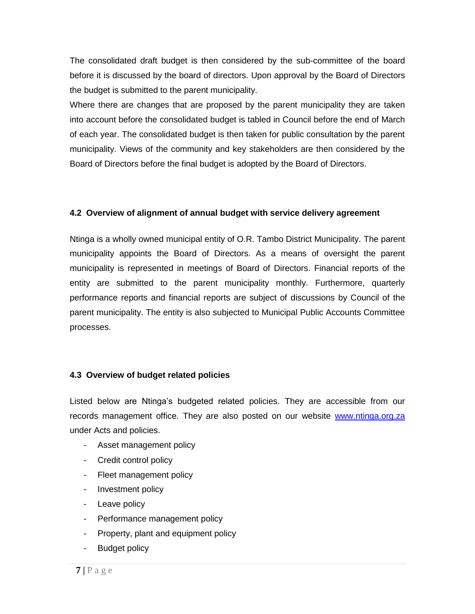The consolidated draft budget is then considered by the sub-committee of the board before it is discussed by the board of directors. Upon approval by the Board of Directors the budget is submitted to the parent municipality.

Where there are changes that are proposed by the parent municipality they are taken into account before the consolidated budget is tabled in Council before the end of March of each year. The consolidated budget is then taken for public consultation by the parent municipality. Views of the community and key stakeholders are then considered by the Board of Directors before the final budget is adopted by the Board of Directors.

### <span id="page-6-0"></span>**4.2 Overview of alignment of annual budget with service delivery agreement**

Ntinga is a wholly owned municipal entity of O.R. Tambo District Municipality. The parent municipality appoints the Board of Directors. As a means of oversight the parent municipality is represented in meetings of Board of Directors. Financial reports of the entity are submitted to the parent municipality monthly. Furthermore, quarterly performance reports and financial reports are subject of discussions by Council of the parent municipality. The entity is also subjected to Municipal Public Accounts Committee processes.

#### <span id="page-6-1"></span>**4.3 Overview of budget related policies**

Listed below are Ntinga's budgeted related policies. They are accessible from our records management office. They are also posted on our website [www.ntinga.org.za](http://www.ntinga.org.za/) under Acts and policies.

- Asset management policy
- Credit control policy
- Fleet management policy
- Investment policy
- Leave policy
- Performance management policy
- Property, plant and equipment policy
- Budget policy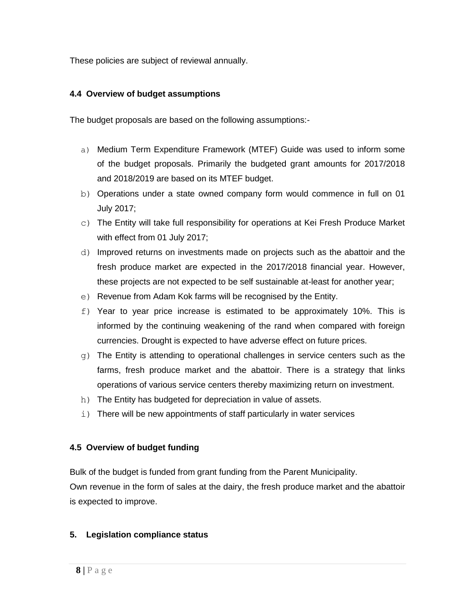<span id="page-7-0"></span>These policies are subject of reviewal annually.

## **4.4 Overview of budget assumptions**

The budget proposals are based on the following assumptions:-

- a) Medium Term Expenditure Framework (MTEF) Guide was used to inform some of the budget proposals. Primarily the budgeted grant amounts for 2017/2018 and 2018/2019 are based on its MTEF budget.
- b) Operations under a state owned company form would commence in full on 01 July 2017;
- c) The Entity will take full responsibility for operations at Kei Fresh Produce Market with effect from 01 July 2017;
- d) Improved returns on investments made on projects such as the abattoir and the fresh produce market are expected in the 2017/2018 financial year. However, these projects are not expected to be self sustainable at-least for another year;
- e) Revenue from Adam Kok farms will be recognised by the Entity.
- f) Year to year price increase is estimated to be approximately 10%. This is informed by the continuing weakening of the rand when compared with foreign currencies. Drought is expected to have adverse effect on future prices.
- $q$ ) The Entity is attending to operational challenges in service centers such as the farms, fresh produce market and the abattoir. There is a strategy that links operations of various service centers thereby maximizing return on investment.
- h) The Entity has budgeted for depreciation in value of assets.
- i) There will be new appointments of staff particularly in water services

## <span id="page-7-1"></span>**4.5 Overview of budget funding**

Bulk of the budget is funded from grant funding from the Parent Municipality. Own revenue in the form of sales at the dairy, the fresh produce market and the abattoir is expected to improve.

## <span id="page-7-2"></span>**5. Legislation compliance status**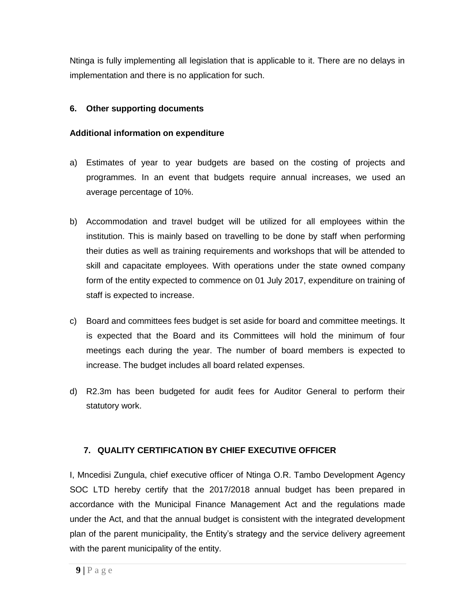Ntinga is fully implementing all legislation that is applicable to it. There are no delays in implementation and there is no application for such.

### <span id="page-8-0"></span>**6. Other supporting documents**

### **Additional information on expenditure**

- a) Estimates of year to year budgets are based on the costing of projects and programmes. In an event that budgets require annual increases, we used an average percentage of 10%.
- b) Accommodation and travel budget will be utilized for all employees within the institution. This is mainly based on travelling to be done by staff when performing their duties as well as training requirements and workshops that will be attended to skill and capacitate employees. With operations under the state owned company form of the entity expected to commence on 01 July 2017, expenditure on training of staff is expected to increase.
- c) Board and committees fees budget is set aside for board and committee meetings. It is expected that the Board and its Committees will hold the minimum of four meetings each during the year. The number of board members is expected to increase. The budget includes all board related expenses.
- d) R2.3m has been budgeted for audit fees for Auditor General to perform their statutory work.

### <span id="page-8-1"></span>**7. QUALITY CERTIFICATION BY CHIEF EXECUTIVE OFFICER**

I, Mncedisi Zungula, chief executive officer of Ntinga O.R. Tambo Development Agency SOC LTD hereby certify that the 2017/2018 annual budget has been prepared in accordance with the Municipal Finance Management Act and the regulations made under the Act, and that the annual budget is consistent with the integrated development plan of the parent municipality, the Entity's strategy and the service delivery agreement with the parent municipality of the entity.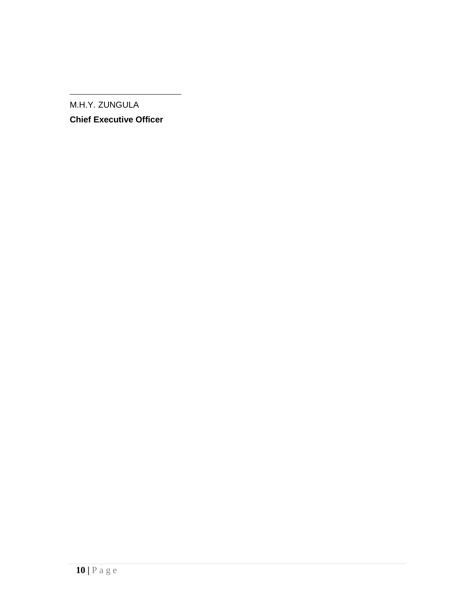M.H.Y. ZUNGULA

**Chief Executive Officer**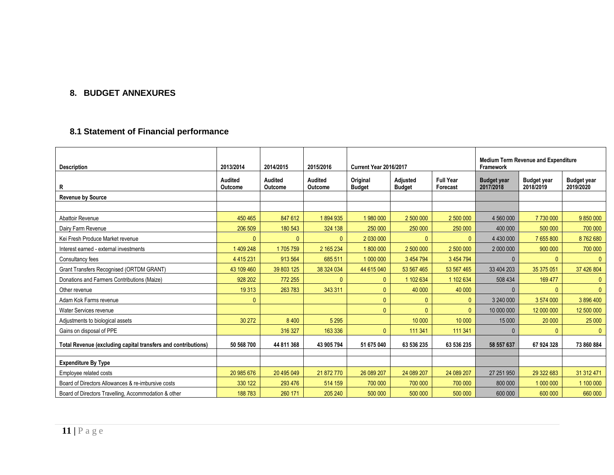### **8. BUDGET ANNEXURES**

## **8.1 Statement of Financial performance**

<span id="page-10-1"></span><span id="page-10-0"></span>

| <b>Description</b>                                            | 2013/2014          | 2014/2015          | 2015/2016                        | <b>Current Year 2016/2017</b> |                           |                              | <b>Medium Term Revenue and Expenditure</b><br><b>Framework</b> |                                 |                                 |  |
|---------------------------------------------------------------|--------------------|--------------------|----------------------------------|-------------------------------|---------------------------|------------------------------|----------------------------------------------------------------|---------------------------------|---------------------------------|--|
| R                                                             | Audited<br>Outcome | Audited<br>Outcome | <b>Audited</b><br><b>Outcome</b> | Original<br><b>Budget</b>     | Adjusted<br><b>Budget</b> | <b>Full Year</b><br>Forecast | <b>Budget year</b><br>2017/2018                                | <b>Budget year</b><br>2018/2019 | <b>Budget year</b><br>2019/2020 |  |
| <b>Revenue by Source</b>                                      |                    |                    |                                  |                               |                           |                              |                                                                |                                 |                                 |  |
|                                                               |                    |                    |                                  |                               |                           |                              |                                                                |                                 |                                 |  |
| Abattoir Revenue                                              | 450 465            | 847 612            | 1894935                          | 1 980 000                     | 2 500 000                 | 2 500 000                    | 4 560 000                                                      | 7730000                         | 9 850 000                       |  |
| Dairy Farm Revenue                                            | 206 509            | 180 543            | 324 138                          | 250 000                       | 250 000                   | 250 000                      | 400 000                                                        | 500 000                         | 700 000                         |  |
| Kei Fresh Produce Market revenue                              | $\Omega$           |                    |                                  | 2 030 000                     | $\Omega$                  | $\mathbf{0}$                 | 4 430 000                                                      | 7 655 800                       | 8762680                         |  |
| Interest earned - external investments                        | 1 409 248          | 1705759            | 2 165 234                        | 1800000                       | 2 500 000                 | 2 500 000                    | 2 000 000                                                      | 900 000                         | 700 000                         |  |
| Consultancy fees                                              | 4 4 1 5 2 3 1      | 913 564            | 685 511                          | 1 000 000                     | 3 4 5 4 7 9 4             | 3 454 794                    | $\Omega$                                                       | $\Omega$                        | $\mathbf{0}$                    |  |
| Grant Transfers Recognised (ORTDM GRANT)                      | 43 109 460         | 39 803 125         | 38 324 034                       | 44 615 040                    | 53 567 465                | 53 567 465                   | 33 404 203                                                     | 35 375 051                      | 37 426 804                      |  |
| Donations and Farmers Contributions (Maize)                   | 928 202            | 772 255            |                                  | $\mathbf{0}$                  | 1 102 634                 | 1 102 634                    | 508 434                                                        | 169 477                         | $\mathbf{0}$                    |  |
| Other revenue                                                 | 19 3 13            | 263783             | 343 311                          | $\Omega$                      | 40 000                    | 40 000                       | $\mathbf{0}$                                                   | $\mathbf{0}$                    | $\mathbf{0}$                    |  |
| Adam Kok Farms revenue                                        | $\mathbf{0}$       |                    |                                  | $\Omega$                      | $\mathbf{0}$              | $\mathbf{0}$                 | 3 240 000                                                      | 3 574 000                       | 3896400                         |  |
| Water Services revenue                                        |                    |                    |                                  | $\mathbf{0}$                  | $\Omega$                  | $\mathbf{0}$                 | 10 000 000                                                     | 12 000 000                      | 12 500 000                      |  |
| Adjustments to biological assets                              | 30 27 2            | 8 4 0 0            | 5 2 9 5                          |                               | 10 000                    | 10 000                       | 15 000                                                         | 20 000                          | 25 000                          |  |
| Gains on disposal of PPE                                      |                    | 316 327            | 163 336                          | $\Omega$                      | 111 341                   | 111 341                      | $\Omega$                                                       | $\Omega$                        | $\mathbf{0}$                    |  |
| Total Revenue (excluding capital transfers and contributions) | 50 568 700         | 44 811 368         | 43 905 794                       | 51 675 040                    | 63 536 235                | 63 536 235                   | 58 557 637                                                     | 67 924 328                      | 73 860 884                      |  |
| <b>Expenditure By Type</b>                                    |                    |                    |                                  |                               |                           |                              |                                                                |                                 |                                 |  |
| Employee related costs                                        | 20 985 676         | 20 495 049         | 21 872 770                       | 26 089 207                    | 24 089 207                | 24 089 207                   | 27 251 950                                                     | 29 322 683                      | 31 312 471                      |  |
| Board of Directors Allowances & re-imbursive costs            | 330 122            | 293 476            | 514 159                          | 700 000                       | 700 000                   | 700 000                      | 800 000                                                        | 1 000 000                       | 1 100 000                       |  |
| Board of Directors Travelling, Accommodation & other          | 188 783            | 260 171            | 205 240                          | 500 000                       | 500 000                   | 500 000                      | 600 000                                                        | 600 000                         | 660 000                         |  |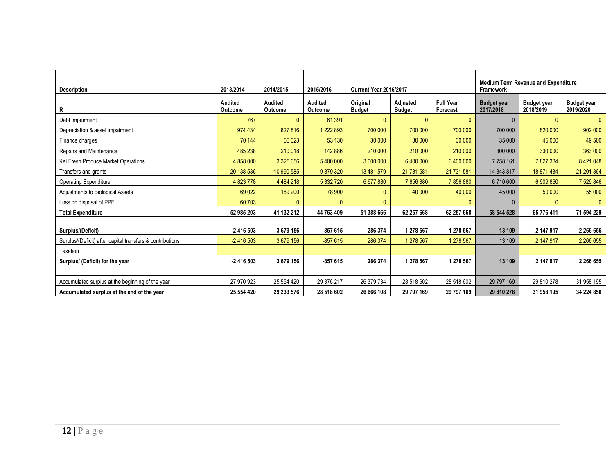| <b>Description</b>                                        | 2013/2014                 | 2014/2015                 | 2015/2016                        | <b>Current Year 2016/2017</b> |                                  |                              | <b>Medium Term Revenue and Expenditure</b><br>Framework |                                 |                                 |
|-----------------------------------------------------------|---------------------------|---------------------------|----------------------------------|-------------------------------|----------------------------------|------------------------------|---------------------------------------------------------|---------------------------------|---------------------------------|
| R                                                         | <b>Audited</b><br>Outcome | <b>Audited</b><br>Outcome | <b>Audited</b><br><b>Outcome</b> | Original<br><b>Budget</b>     | <b>Adjusted</b><br><b>Budget</b> | <b>Full Year</b><br>Forecast | <b>Budget year</b><br>2017/2018                         | <b>Budget year</b><br>2018/2019 | <b>Budget year</b><br>2019/2020 |
| Debt impairment                                           | 767                       | 0                         | 61 391                           | $\mathbf{0}$                  | $\mathbf{0}$                     | $\mathbf{0}$                 | $\mathbf{0}$                                            | $\mathbf{0}$                    | $\mathbf{0}$                    |
| Depreciation & asset impairment                           | 974 434                   | 827 816                   | 222 893                          | 700 000                       | 700 000                          | 700 000                      | 700 000                                                 | 820 000                         | 902 000                         |
| Finance charges                                           | 70 144                    | 56 0 23                   | 53 130                           | 30 000                        | 30 000                           | 30 000                       | 35 000                                                  | 45 000                          | 49 500                          |
| Repairs and Maintenance                                   | 485 238                   | 210 018                   | 142 886                          | 210 000                       | 210 000                          | 210 000                      | 300 000                                                 | 330 000                         | 363 000                         |
| Kei Fresh Produce Market Operations                       | 4 858 000                 | 3 325 656                 | 5 400 000                        | 3 000 000                     | 6 400 000                        | 6 400 000                    | 7 7 58 161                                              | 7827384                         | 8 421 048                       |
| Transfers and grants                                      | 20 138 536                | 10 990 585                | 9879320                          | 13 481 579                    | 21 731 581                       | 21 731 581                   | 14 343 817                                              | 18 871 484                      | 21 201 364                      |
| <b>Operating Expenditure</b>                              | 4 823 778                 | 4 4 8 4 2 1 8             | 5 332 720                        | 6 677 880                     | 7856880                          | 7856880                      | 6710600                                                 | 6 909 860                       | 7 529 846                       |
| Adjustments to Biological Assets                          | 69 0 22                   | 189 200                   | 78 900                           | $\Omega$                      | 40 000                           | 40 000                       | 45 000                                                  | 50 000                          | 55 000                          |
| Loss on disposal of PPE                                   | 60 703                    |                           |                                  | $\Omega$                      |                                  | $\Omega$                     |                                                         | $\Omega$                        | $\mathbf{0}$                    |
| <b>Total Expenditure</b>                                  | 52 985 203                | 41 132 212                | 44 763 409                       | 51 388 666                    | 62 257 668                       | 62 257 668                   | 58 544 528                                              | 65 776 411                      | 71 594 229                      |
|                                                           |                           |                           |                                  |                               |                                  |                              |                                                         |                                 |                                 |
| Surplus/(Deficit)                                         | $-2416503$                | 3 679 156                 | $-857615$                        | 286 374                       | 1 278 567                        | 1 278 567                    | 13 109                                                  | 2 147 917                       | 2 266 655                       |
| Surplus/(Deficit) after capital transfers & contributions | $-2416503$                | 3 679 156                 | $-857615$                        | 286 374                       | 1 278 567                        | 1 278 567                    | 13 109                                                  | 2 147 917                       | 2 266 655                       |
| Taxation                                                  |                           |                           |                                  |                               |                                  |                              |                                                         |                                 |                                 |
| Surplus/ (Deficit) for the year                           | $-2416503$                | 3 679 156                 | $-857615$                        | 286 374                       | 1 278 567                        | 1 278 567                    | 13 109                                                  | 2 147 917                       | 2 266 655                       |
|                                                           |                           |                           |                                  |                               |                                  |                              |                                                         |                                 |                                 |
| Accumulated surplus at the beginning of the year          | 27 970 923                | 25 554 420                | 29 376 217                       | 26 379 734                    | 28 518 602                       | 28 518 602                   | 29 797 169                                              | 29 810 278                      | 31 958 195                      |
| Accumulated surplus at the end of the year                | 25 554 420                | 29 233 576                | 28 518 602                       | 26 666 108                    | 29 797 169                       | 29 797 169                   | 29 810 278                                              | 31 958 195                      | 34 224 850                      |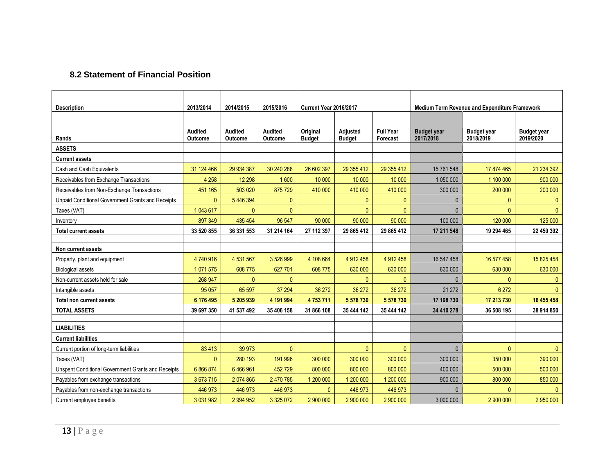## **8.2 Statement of Financial Position**

<span id="page-12-0"></span>

|                                                    | 2013/2014          | 2014/2015          | 2015/2016          | <b>Current Year 2016/2017</b> |                           | <b>Medium Term Revenue and Expenditure Framework</b> |                                 |                                 |                                 |
|----------------------------------------------------|--------------------|--------------------|--------------------|-------------------------------|---------------------------|------------------------------------------------------|---------------------------------|---------------------------------|---------------------------------|
| <b>Description</b>                                 |                    |                    |                    |                               |                           |                                                      |                                 |                                 |                                 |
|                                                    |                    |                    |                    |                               |                           |                                                      |                                 |                                 |                                 |
| Rands                                              | Audited<br>Outcome | Audited<br>Outcome | Audited<br>Outcome | Original<br><b>Budget</b>     | Adjusted<br><b>Budget</b> | <b>Full Year</b><br>Forecast                         | <b>Budget year</b><br>2017/2018 | <b>Budget year</b><br>2018/2019 | <b>Budget year</b><br>2019/2020 |
| <b>ASSETS</b>                                      |                    |                    |                    |                               |                           |                                                      |                                 |                                 |                                 |
| <b>Current assets</b>                              |                    |                    |                    |                               |                           |                                                      |                                 |                                 |                                 |
| Cash and Cash Equivalents                          | 31 124 466         | 29 934 387         | 30 240 288         | 26 602 397                    | 29 355 412                | 29 355 412                                           | 15 761 548                      | 17 874 465                      | 21 234 392                      |
| Receivables from Exchange Transactions             | 4 2 5 8            | 12 2 98            | 1600               | 10 000                        | 10 000                    | 10 000                                               | 1 050 000                       | 1 100 000                       | 900 000                         |
| Receivables from Non-Exchange Transactions         | 451 165            | 503 020            | 875729             | 410 000                       | 410 000                   | 410 000                                              | 300 000                         | 200 000                         | 200 000                         |
| Unpaid Conditional Government Grants and Receipts  | $\mathbf{0}$       | 5 446 394          | $\mathbf{0}$       |                               | $\mathbf{0}$              | $\mathbf{0}$                                         | $\mathbf{0}$                    | $\mathbf{0}$                    | $\mathbf{0}$                    |
| Taxes (VAT)                                        | 1 043 617          | $\mathbf{0}$       | $\mathbf{0}$       |                               | $\mathbf{0}$              | $\Omega$                                             | $\mathbf{0}$                    | $\mathbf{0}$                    | $\mathbf{0}$                    |
| Inventory                                          | 897 349            | 435 454            | 96 547             | 90 000                        | 90 000                    | 90 000                                               | 100 000                         | 120 000                         | 125 000                         |
| <b>Total current assets</b>                        | 33 520 855         | 36 331 553         | 31 214 164         | 27 112 397                    | 29 865 412                | 29 865 412                                           | 17 211 548                      | 19 294 465                      | 22 459 392                      |
|                                                    |                    |                    |                    |                               |                           |                                                      |                                 |                                 |                                 |
| Non current assets                                 |                    |                    |                    |                               |                           |                                                      |                                 |                                 |                                 |
| Property, plant and equipment                      | 4740916            | 4 531 567          | 3 526 999          | 4 108 664                     | 4 912 458                 | 4 912 458                                            | 16 547 458                      | 16 577 458                      | 15 825 458                      |
| <b>Biological assets</b>                           | 1 071 575          | 608 775            | 627 701            | 608 775                       | 630 000                   | 630 000                                              | 630 000                         | 630 000                         | 630 000                         |
| Non-current assets held for sale                   | 268 947            | $\Omega$           | $\mathbf{0}$       |                               | $\Omega$                  | $\Omega$                                             | $\Omega$                        | $\Omega$                        | $\mathbf{0}$                    |
| Intangible assets                                  | 95 0 57            | 65 597             | 37 294             | 36 27 2                       | 36 27 2                   | 36 272                                               | 21 27 2                         | 6 2 7 2                         | $\mathbf{0}$                    |
| Total non current assets                           | 6 176 495          | 5 205 939          | 4 191 994          | 4753711                       | 5 578 730                 | 5 578 730                                            | 17 198 730                      | 17 213 730                      | 16 455 458                      |
| <b>TOTAL ASSETS</b>                                | 39 697 350         | 41 537 492         | 35 406 158         | 31 866 108                    | 35 444 142                | 35 444 142                                           | 34 410 278                      | 36 508 195                      | 38 914 850                      |
|                                                    |                    |                    |                    |                               |                           |                                                      |                                 |                                 |                                 |
| <b>LIABILITIES</b>                                 |                    |                    |                    |                               |                           |                                                      |                                 |                                 |                                 |
| <b>Current liabilities</b>                         |                    |                    |                    |                               |                           |                                                      |                                 |                                 |                                 |
| Current portion of long-term liabilities           | 83413              | 39 973             | $\mathbf{0}$       |                               | $\mathbf{0}$              | $\mathbf{0}$                                         | $\mathbf{0}$                    | $\mathbf{0}$                    | $\mathbf{0}$                    |
| Taxes (VAT)                                        | $\mathbf{0}$       | 280 193            | 191 996            | 300 000                       | 300 000                   | 300 000                                              | 300 000                         | 350 000                         | 390 000                         |
| Unspent Conditional Government Grants and Receipts | 6 866 874          | 6466961            | 452729             | 800 000                       | 800 000                   | 800 000                                              | 400 000                         | 500 000                         | 500 000                         |
| Payables from exchange transactions                | 3 673 715          | 2 074 865          | 2 470 785          | 1 200 000                     | 1 200 000                 | 1 200 000                                            | 900 000                         | 800 000                         | 850 000                         |
| Payables from non-exchange transactions            | 446 973            | 446 973            | 446 973            | $\mathbf{0}$                  | 446 973                   | 446 973                                              | $\Omega$                        | $\Omega$                        | $\Omega$                        |
| Current employee benefits                          | 3 031 982          | 2 994 952          | 3 325 072          | 2 900 000                     | 2 900 000                 | 2 900 000                                            | 3 000 000                       | 2 900 000                       | 2 950 000                       |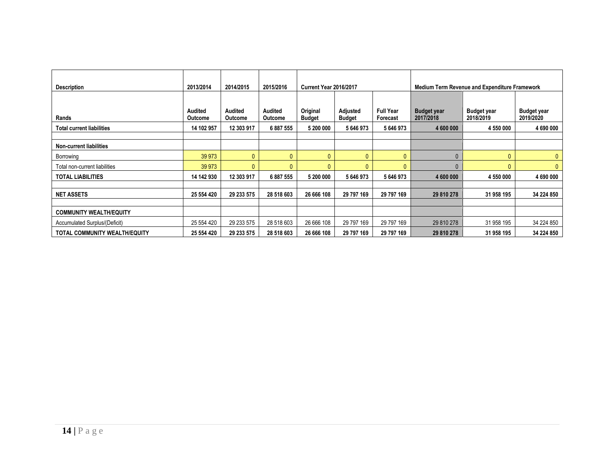| <b>Description</b>                   | 2013/2014          | 2014/2015          | 2015/2016                 | <b>Current Year 2016/2017</b> |                           |                              | Medium Term Revenue and Expenditure Framework |                                 |                                 |  |
|--------------------------------------|--------------------|--------------------|---------------------------|-------------------------------|---------------------------|------------------------------|-----------------------------------------------|---------------------------------|---------------------------------|--|
| Rands                                | Audited<br>Outcome | Audited<br>Outcome | Audited<br><b>Outcome</b> | Original<br><b>Budget</b>     | Adjusted<br><b>Budget</b> | <b>Full Year</b><br>Forecast | <b>Budget year</b><br>2017/2018               | <b>Budget year</b><br>2018/2019 | <b>Budget year</b><br>2019/2020 |  |
| <b>Total current liabilities</b>     | 14 102 957         | 12 303 917         | 6 887 555                 | 5 200 000                     | 5 646 973                 | 5646973                      | 4 600 000                                     | 4 550 000                       | 4 690 000                       |  |
|                                      |                    |                    |                           |                               |                           |                              |                                               |                                 |                                 |  |
| <b>Non-current liabilities</b>       |                    |                    |                           |                               |                           |                              |                                               |                                 |                                 |  |
| Borrowing                            | 39 973             | $\mathbf{0}$       | $\Omega$                  | $\mathbf{0}$                  | $\mathbf{0}$              | $\mathbf{0}$                 | 0                                             |                                 | 0                               |  |
| Total non-current liabilities        | 39 973             | $\Omega$           |                           | $\mathbf{0}$                  | $\mathbf{0}$              | $\mathbf{0}$                 |                                               |                                 | 0                               |  |
| <b>TOTAL LIABILITIES</b>             | 14 142 930         | 12 303 917         | 6887555                   | 5 200 000                     | 5 646 973                 | 5646973                      | 4 600 000                                     | 4 550 000                       | 4 690 000                       |  |
|                                      |                    |                    |                           |                               |                           |                              |                                               |                                 |                                 |  |
| <b>NET ASSETS</b>                    | 25 554 420         | 29 233 575         | 28 518 603                | 26 666 108                    | 29 797 169                | 29 797 169                   | 29 810 278                                    | 31 958 195                      | 34 224 850                      |  |
|                                      |                    |                    |                           |                               |                           |                              |                                               |                                 |                                 |  |
| <b>COMMUNITY WEALTH/EQUITY</b>       |                    |                    |                           |                               |                           |                              |                                               |                                 |                                 |  |
| Accumulated Surplus/(Deficit)        | 25 554 420         | 29 233 575         | 28 518 603                | 26 666 108                    | 29 797 169                | 29 797 169                   | 29 810 278                                    | 31 958 195                      | 34 224 850                      |  |
| <b>TOTAL COMMUNITY WEALTH/EQUITY</b> | 25 554 420         | 29 233 575         | 28 518 603                | 26 666 108                    | 29 797 169                | 29 797 169                   | 29 810 278                                    | 31 958 195                      | 34 224 850                      |  |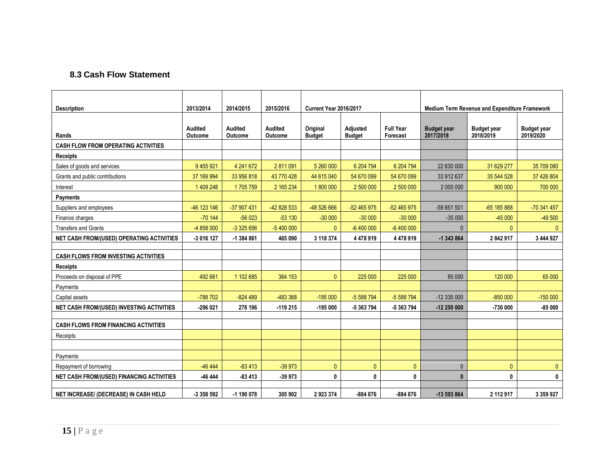### **8.3 Cash Flow Statement**

<span id="page-14-0"></span>

| <b>Description</b>                               | 2013/2014          | 2014/2015                 | 2015/2016                        | Current Year 2016/2017    |                           | Medium Term Revenue and Expenditure Framework |                                 |                                 |                                 |
|--------------------------------------------------|--------------------|---------------------------|----------------------------------|---------------------------|---------------------------|-----------------------------------------------|---------------------------------|---------------------------------|---------------------------------|
| Rands                                            | Audited<br>Outcome | <b>Audited</b><br>Outcome | <b>Audited</b><br><b>Outcome</b> | Original<br><b>Budget</b> | Adjusted<br><b>Budget</b> | <b>Full Year</b><br>Forecast                  | <b>Budget year</b><br>2017/2018 | <b>Budget year</b><br>2018/2019 | <b>Budget year</b><br>2019/2020 |
| <b>CASH FLOW FROM OPERATING ACTIVITIES</b>       |                    |                           |                                  |                           |                           |                                               |                                 |                                 |                                 |
| <b>Receipts</b>                                  |                    |                           |                                  |                           |                           |                                               |                                 |                                 |                                 |
| Sales of goods and services                      | 9 455 921          | 4 241 672                 | 2 811 091                        | 5 260 000                 | 6 204 794                 | 6 204 794                                     | 22 630 000                      | 31 629 277                      | 35 709 080                      |
| Grants and public contributions                  | 37 169 994         | 33 956 818                | 43 770 428                       | 44 615 040                | 54 670 099                | 54 670 099                                    | 33 912 637                      | 35 544 528                      | 37 426 804                      |
| Interest                                         | 1 409 248          | 1705759                   | 2 165 234                        | 1800000                   | 2 500 000                 | 2 500 000                                     | 2 000 000                       | 900 000                         | 700 000                         |
| <b>Payments</b>                                  |                    |                           |                                  |                           |                           |                                               |                                 |                                 |                                 |
| Suppliers and employees                          | -46 123 146        | -37 907 431               | -42 828 533                      | -48 526 666               | -52 465 975               | $-52465975$                                   | -59 851 501                     | -65 185 888                     | -70 341 457                     |
| Finance charges                                  | $-70144$           | $-56023$                  | $-53130$                         | $-30000$                  | $-30000$                  | $-30000$                                      | $-35000$                        | $-45000$                        | $-49500$                        |
| <b>Transfers and Grants</b>                      | -4 858 000         | $-3325656$                | $-5400000$                       | $\mathbf{0}$              | $-6400000$                | $-6400000$                                    | $\mathbf{0}$                    | $\mathbf{0}$                    | $\mathbf{0}$                    |
| <b>NET CASH FROM/(USED) OPERATING ACTIVITIES</b> | -3 016 127         | -1 384 861                | 465 090                          | 3 118 374                 | 4 478 919                 | 4 478 919                                     | -1 343 864                      | 2842917                         | 3 444 927                       |
|                                                  |                    |                           |                                  |                           |                           |                                               |                                 |                                 |                                 |
| <b>CASH FLOWS FROM INVESTING ACTIVITIES</b>      |                    |                           |                                  |                           |                           |                                               |                                 |                                 |                                 |
| <b>Receipts</b>                                  |                    |                           |                                  |                           |                           |                                               |                                 |                                 |                                 |
| Proceeds on disposal of PPE                      | 492 681            | 1 102 685                 | 364 153                          | $\mathbf{0}$              | 225 000                   | 225 000                                       | 85 000                          | 120 000                         | 65 000                          |
| Payments                                         |                    |                           |                                  |                           |                           |                                               |                                 |                                 |                                 |
| Capital assets                                   | -788 702           | $-824489$                 | -483 368                         | $-195000$                 | -5 588 794                | -5 588 794                                    | $-12335000$                     | $-850000$                       | $-150000$                       |
| NET CASH FROM/(USED) INVESTING ACTIVITIES        | -296 021           | 278 196                   | $-119215$                        | $-195000$                 | -5 363 794                | -5 363 794                                    | $-12250000$                     | -730 000                        | $-85000$                        |
|                                                  |                    |                           |                                  |                           |                           |                                               |                                 |                                 |                                 |
| <b>CASH FLOWS FROM FINANCING ACTIVITIES</b>      |                    |                           |                                  |                           |                           |                                               |                                 |                                 |                                 |
| Receipts                                         |                    |                           |                                  |                           |                           |                                               |                                 |                                 |                                 |
|                                                  |                    |                           |                                  |                           |                           |                                               |                                 |                                 |                                 |
| Payments                                         |                    |                           |                                  |                           |                           |                                               |                                 |                                 |                                 |
| Repayment of borrowing                           | $-46444$           | $-83413$                  | $-39973$                         | $\mathbf{0}$              | $\mathbf{0}$              | $\mathbf{0}$                                  | $\mathbf{0}$                    | $\mathbf{0}$                    | $\overline{0}$                  |
| <b>NET CASH FROM/(USED) FINANCING ACTIVITIES</b> | -46 444            | $-83413$                  | $-39973$                         | 0                         | 0                         | 0                                             | $\bf{0}$                        | 0                               | 0                               |
| NET INCREASE/ (DECREASE) IN CASH HELD            | -3 358 592         | $-1$ 190 078              | 305 902                          | 2923374                   | -884 876                  | $-884876$                                     | -13 593 864                     | 2 112 917                       | 3 3 5 9 9 2 7                   |